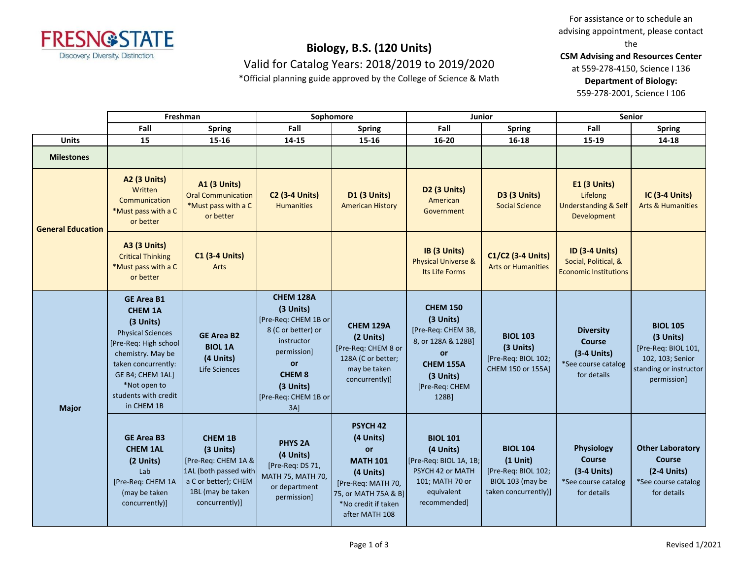

Valid for Catalog Years: 2018/2019 to 2019/2020

\*Official planning guide approved by the College of Science & Math

For assistance or to schedule an advising appointment, please contact the

**CSM Advising and Resources Center**

at 559-278-4150, Science I 136

**Department of Biology:**

559-278-2001, Science I 106

|                          | Freshman                                                                                                                                                                                                                    |                                                                                                                                              | Sophomore                                                                                                                                                                      |                                                                                                                                                                  | Junior                                                                                                                                       |                                                                                                  | <b>Senior</b>                                                                      |                                                                                                                  |
|--------------------------|-----------------------------------------------------------------------------------------------------------------------------------------------------------------------------------------------------------------------------|----------------------------------------------------------------------------------------------------------------------------------------------|--------------------------------------------------------------------------------------------------------------------------------------------------------------------------------|------------------------------------------------------------------------------------------------------------------------------------------------------------------|----------------------------------------------------------------------------------------------------------------------------------------------|--------------------------------------------------------------------------------------------------|------------------------------------------------------------------------------------|------------------------------------------------------------------------------------------------------------------|
|                          | Fall                                                                                                                                                                                                                        | <b>Spring</b>                                                                                                                                | Fall                                                                                                                                                                           | <b>Spring</b>                                                                                                                                                    | Fall                                                                                                                                         | <b>Spring</b>                                                                                    | Fall                                                                               | Spring                                                                                                           |
| <b>Units</b>             | 15                                                                                                                                                                                                                          | 15-16                                                                                                                                        | 14-15                                                                                                                                                                          | 15-16                                                                                                                                                            | 16-20                                                                                                                                        | $16 - 18$                                                                                        | 15-19                                                                              | $14 - 18$                                                                                                        |
| <b>Milestones</b>        |                                                                                                                                                                                                                             |                                                                                                                                              |                                                                                                                                                                                |                                                                                                                                                                  |                                                                                                                                              |                                                                                                  |                                                                                    |                                                                                                                  |
| <b>General Education</b> | A2 (3 Units)<br>Written<br>Communication<br>*Must pass with a C<br>or better                                                                                                                                                | <b>A1 (3 Units)</b><br><b>Oral Communication</b><br>*Must pass with a C<br>or better                                                         | <b>C2 (3-4 Units)</b><br><b>Humanities</b>                                                                                                                                     | <b>D1 (3 Units)</b><br><b>American History</b>                                                                                                                   | D <sub>2</sub> (3 Units)<br>American<br>Government                                                                                           | <b>D3 (3 Units)</b><br><b>Social Science</b>                                                     | E1 (3 Units)<br>Lifelong<br><b>Understanding &amp; Self</b><br>Development         | IC (3-4 Units)<br><b>Arts &amp; Humanities</b>                                                                   |
|                          | <b>A3 (3 Units)</b><br><b>Critical Thinking</b><br>*Must pass with a C<br>or better                                                                                                                                         | <b>C1 (3-4 Units)</b><br>Arts                                                                                                                |                                                                                                                                                                                |                                                                                                                                                                  | IB (3 Units)<br><b>Physical Universe &amp;</b><br>Its Life Forms                                                                             | C1/C2 (3-4 Units)<br><b>Arts or Humanities</b>                                                   | <b>ID (3-4 Units)</b><br>Social, Political, &<br><b>Economic Institutions</b>      |                                                                                                                  |
| <b>Major</b>             | <b>GE Area B1</b><br><b>CHEM 1A</b><br>(3 Units)<br><b>Physical Sciences</b><br>[Pre-Req: High school<br>chemistry. May be<br>taken concurrently:<br>GE B4; CHEM 1AL]<br>*Not open to<br>students with credit<br>in CHEM 1B | <b>GE Area B2</b><br><b>BIOL 1A</b><br>(4 Units)<br>Life Sciences                                                                            | <b>CHEM 128A</b><br>(3 Units)<br>[Pre-Req: CHEM 1B or<br>8 (C or better) or<br>instructor<br>permission]<br>or<br><b>CHEM 8</b><br>(3 Units)<br>[Pre-Req: CHEM 1B or<br>$3A$ ] | <b>CHEM 129A</b><br>(2 Units)<br>[Pre-Req: CHEM 8 or<br>128A (C or better;<br>may be taken<br>concurrently)]                                                     | <b>CHEM 150</b><br>(3 Units)<br>[Pre-Req: CHEM 3B,<br>8, or 128A & 128B]<br>or<br><b>CHEM 155A</b><br>$(3$ Units)<br>[Pre-Req: CHEM<br>128B] | <b>BIOL 103</b><br>(3 Units)<br>[Pre-Req: BIOL 102;<br>CHEM 150 or 155A]                         | <b>Diversity</b><br>Course<br>$(3-4$ Units)<br>*See course catalog<br>for details  | <b>BIOL 105</b><br>(3 Units)<br>[Pre-Req: BIOL 101,<br>102, 103; Senior<br>standing or instructor<br>permission] |
|                          | <b>GE Area B3</b><br><b>CHEM 1AL</b><br>(2 Units)<br>Lab<br>[Pre-Req: CHEM 1A<br>(may be taken<br>concurrently)]                                                                                                            | <b>CHEM 1B</b><br>$(3$ Units)<br>[Pre-Req: CHEM 1A &<br>1AL (both passed with<br>a C or better); CHEM<br>1BL (may be taken<br>concurrently)] | <b>PHYS 2A</b><br>(4 Units)<br>[Pre-Req: DS 71,<br>MATH 75, MATH 70,<br>or department<br>permission]                                                                           | <b>PSYCH 42</b><br>(4 Units)<br><b>or</b><br><b>MATH 101</b><br>(4 Units)<br>[Pre-Req: MATH 70,<br>75, or MATH 75A & B]<br>*No credit if taken<br>after MATH 108 | <b>BIOL 101</b><br>(4 Units)<br>[Pre-Req: BIOL 1A, 1B;<br>PSYCH 42 or MATH<br>101; MATH 70 or<br>equivalent<br>recommended]                  | <b>BIOL 104</b><br>$(1$ Unit)<br>[Pre-Req: BIOL 102;<br>BIOL 103 (may be<br>taken concurrently)] | Physiology<br><b>Course</b><br>$(3-4$ Units)<br>*See course catalog<br>for details | <b>Other Laboratory</b><br>Course<br>$(2-4$ Units)<br>*See course catalog<br>for details                         |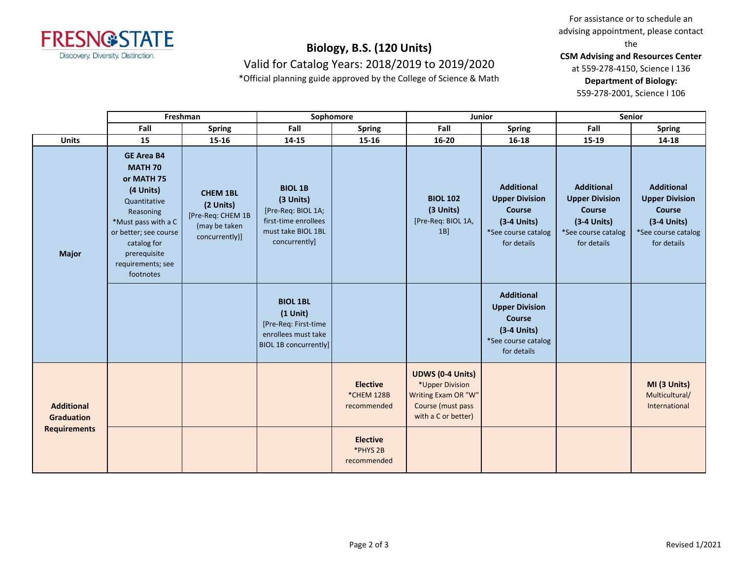

Valid for Catalog Years: 2018/2019 to 2019/2020

\*Official planning guide approved by the College of Science & Math

For assistance or to schedule an advising appointment, please contact the

**CSM Advising and Resources Center**

at 559-278-4150, Science I 136

**Department of Biology:**

559-278-2001, Science I 106

|                                                               | Freshman                                                                                                                                                                                                     |                                                                                      | Sophomore                                                                                                        |                                              | Junior                                                                                                        |                                                                                                             | <b>Senior</b>                                                                                               |                                                                                                             |
|---------------------------------------------------------------|--------------------------------------------------------------------------------------------------------------------------------------------------------------------------------------------------------------|--------------------------------------------------------------------------------------|------------------------------------------------------------------------------------------------------------------|----------------------------------------------|---------------------------------------------------------------------------------------------------------------|-------------------------------------------------------------------------------------------------------------|-------------------------------------------------------------------------------------------------------------|-------------------------------------------------------------------------------------------------------------|
|                                                               | Fall                                                                                                                                                                                                         | <b>Spring</b>                                                                        | Fall                                                                                                             | <b>Spring</b>                                | Fall                                                                                                          | <b>Spring</b>                                                                                               | Fall                                                                                                        | <b>Spring</b>                                                                                               |
| <b>Units</b>                                                  | 15                                                                                                                                                                                                           | $15 - 16$                                                                            | $14 - 15$                                                                                                        | $15 - 16$                                    | $16 - 20$                                                                                                     | $16 - 18$                                                                                                   | 15-19                                                                                                       | $14 - 18$                                                                                                   |
| <b>Major</b>                                                  | <b>GE Area B4</b><br><b>MATH 70</b><br>or MATH 75<br>(4 Units)<br>Quantitative<br>Reasoning<br>*Must pass with a C<br>or better; see course<br>catalog for<br>prerequisite<br>requirements; see<br>footnotes | <b>CHEM 1BL</b><br>(2 Units)<br>[Pre-Req: CHEM 1B<br>(may be taken<br>concurrently)] | <b>BIOL 1B</b><br>(3 Units)<br>[Pre-Req: BIOL 1A;<br>first-time enrollees<br>must take BIOL 1BL<br>concurrently] |                                              | <b>BIOL 102</b><br>(3 Units)<br>[Pre-Req: BIOL 1A,<br>$1B$ ]                                                  | <b>Additional</b><br><b>Upper Division</b><br>Course<br>$(3-4$ Units)<br>*See course catalog<br>for details | <b>Additional</b><br><b>Upper Division</b><br>Course<br>$(3-4$ Units)<br>*See course catalog<br>for details | <b>Additional</b><br><b>Upper Division</b><br>Course<br>$(3-4$ Units)<br>*See course catalog<br>for details |
|                                                               |                                                                                                                                                                                                              |                                                                                      | <b>BIOL 1BL</b><br>$(1$ Unit)<br>[Pre-Req: First-time<br>enrollees must take<br><b>BIOL 1B concurrently]</b>     |                                              |                                                                                                               | <b>Additional</b><br><b>Upper Division</b><br>Course<br>$(3-4$ Units)<br>*See course catalog<br>for details |                                                                                                             |                                                                                                             |
| <b>Additional</b><br><b>Graduation</b><br><b>Requirements</b> |                                                                                                                                                                                                              |                                                                                      |                                                                                                                  | <b>Elective</b><br>*CHEM 128B<br>recommended | <b>UDWS (0-4 Units)</b><br>*Upper Division<br>Writing Exam OR "W"<br>Course (must pass<br>with a C or better) |                                                                                                             |                                                                                                             | MI (3 Units)<br>Multicultural/<br>International                                                             |
|                                                               |                                                                                                                                                                                                              |                                                                                      |                                                                                                                  | <b>Elective</b><br>*PHYS 2B<br>recommended   |                                                                                                               |                                                                                                             |                                                                                                             |                                                                                                             |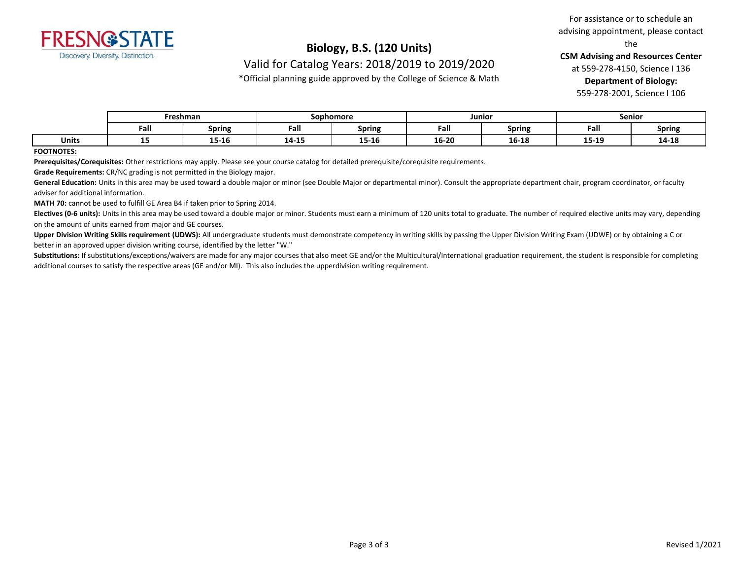

Valid for Catalog Years: 2018/2019 to 2019/2020

\*Official planning guide approved by the College of Science & Math

For assistance or to schedule an advising appointment, please contact the

**CSM Advising and Resources Center**

at 559-278-4150, Science I 136

**Department of Biology:**

559-278-2001, Science I 106

|       | Freshman |        | Sophomore |               | Junior |               | <b>Senior</b> |               |
|-------|----------|--------|-----------|---------------|--------|---------------|---------------|---------------|
|       | Fall     | Spring | Fall      | <b>Spring</b> | Fall   | <b>Spring</b> | Fall          | <b>Spring</b> |
| Units | --       | 15-16  | 14-15     | 15-16         | 16-20  | 16-18         | 15-19         | 14-18         |

#### **FOOTNOTES:**

**Prerequisites/Corequisites:** Other restrictions may apply. Please see your course catalog for detailed prerequisite/corequisite requirements.

**Grade Requirements:** CR/NC grading is not permitted in the Biology major.

General Education: Units in this area may be used toward a double major or minor (see Double Major or departmental minor). Consult the appropriate department chair, program coordinator, or faculty adviser for additional information.

**MATH 70:** cannot be used to fulfill GE Area B4 if taken prior to Spring 2014.

Electives (0-6 units): Units in this area may be used toward a double major or minor. Students must earn a minimum of 120 units total to graduate. The number of required elective units may vary, depending on the amount of units earned from major and GE courses.

**Upper Division Writing Skills requirement (UDWS):** All undergraduate students must demonstrate competency in writing skills by passing the Upper Division Writing Exam (UDWE) or by obtaining a C or better in an approved upper division writing course, identified by the letter "W."

Substitutions: If substitutions/exceptions/waivers are made for any major courses that also meet GE and/or the Multicultural/International graduation requirement, the student is responsible for completing additional courses to satisfy the respective areas (GE and/or MI). This also includes the upperdivision writing requirement.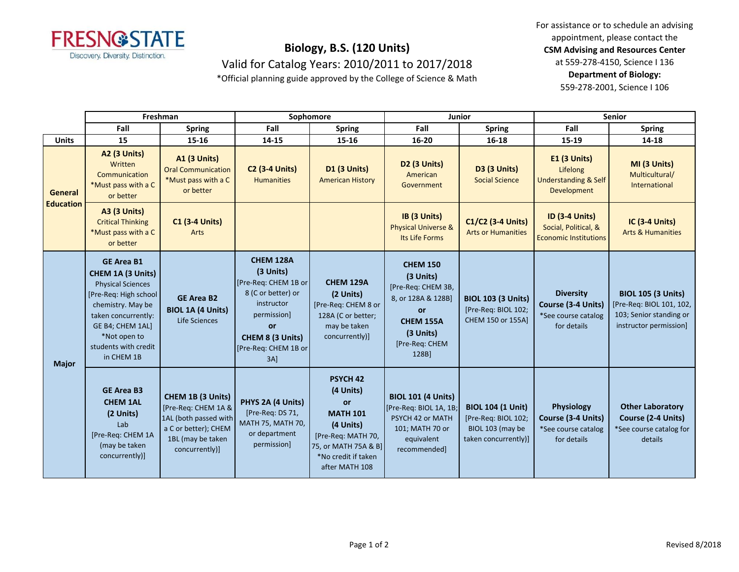

Valid for Catalog Years: 2010/2011 to 2017/2018

\*Official planning guide approved by the College of Science & Math

For assistance or to schedule an advising appointment, please contact the **CSM Advising and Resources Center** at 559-278-4150, Science I 136 **Department of Biology:**

559-278-2001, Science I 106

|                                    | Freshman                                                                                                                                                                                                          |                                                                                                                                  | Sophomore                                                                                                                                                     |                                                                                                                                                                  | Junior                                                                                                                              |                                                                                             | <b>Senior</b>                                                                 |                                                                                                            |
|------------------------------------|-------------------------------------------------------------------------------------------------------------------------------------------------------------------------------------------------------------------|----------------------------------------------------------------------------------------------------------------------------------|---------------------------------------------------------------------------------------------------------------------------------------------------------------|------------------------------------------------------------------------------------------------------------------------------------------------------------------|-------------------------------------------------------------------------------------------------------------------------------------|---------------------------------------------------------------------------------------------|-------------------------------------------------------------------------------|------------------------------------------------------------------------------------------------------------|
|                                    | Fall                                                                                                                                                                                                              | <b>Spring</b>                                                                                                                    | Fall                                                                                                                                                          | <b>Spring</b>                                                                                                                                                    | Fall                                                                                                                                | <b>Spring</b>                                                                               | Fall                                                                          | <b>Spring</b>                                                                                              |
| <b>Units</b>                       | 15                                                                                                                                                                                                                | $15 - 16$                                                                                                                        | 14-15                                                                                                                                                         | 15-16                                                                                                                                                            | 16-20                                                                                                                               | 16-18                                                                                       | 15-19                                                                         | 14-18                                                                                                      |
| <b>General</b><br><b>Education</b> | <b>A2 (3 Units)</b><br>Written<br>Communication<br>*Must pass with a C<br>or better                                                                                                                               | <b>A1 (3 Units)</b><br><b>Oral Communication</b><br>*Must pass with a C<br>or better                                             | <b>C2 (3-4 Units)</b><br><b>Humanities</b>                                                                                                                    | <b>D1 (3 Units)</b><br><b>American History</b>                                                                                                                   | D <sub>2</sub> (3 Units)<br>American<br>Government                                                                                  | D3 (3 Units)<br><b>Social Science</b>                                                       | E1 (3 Units)<br>Lifelong<br><b>Understanding &amp; Self</b><br>Development    | MI (3 Units)<br>Multicultural/<br>International                                                            |
|                                    | <b>A3 (3 Units)</b><br><b>Critical Thinking</b><br>*Must pass with a C<br>or better                                                                                                                               | <b>C1 (3-4 Units)</b><br>Arts                                                                                                    |                                                                                                                                                               |                                                                                                                                                                  | IB (3 Units)<br><b>Physical Universe &amp;</b><br>Its Life Forms                                                                    | C1/C2 (3-4 Units)<br><b>Arts or Humanities</b>                                              | <b>ID (3-4 Units)</b><br>Social, Political, &<br><b>Economic Institutions</b> | <b>IC (3-4 Units)</b><br><b>Arts &amp; Humanities</b>                                                      |
| <b>Major</b>                       | <b>GE Area B1</b><br>CHEM 1A (3 Units)<br><b>Physical Sciences</b><br>[Pre-Req: High school<br>chemistry. May be<br>taken concurrently:<br>GE B4; CHEM 1AL]<br>*Not open to<br>students with credit<br>in CHEM 1B | <b>GE Area B2</b><br><b>BIOL 1A (4 Units)</b><br>Life Sciences                                                                   | CHEM 128A<br>(3 Units)<br>[Pre-Req: CHEM 1B or<br>8 (C or better) or<br>instructor<br>permission]<br>or<br>CHEM 8 (3 Units)<br>[Pre-Req: CHEM 1B or<br>$3A$ ] | <b>CHEM 129A</b><br>(2 Units)<br>[Pre-Req: CHEM 8 or<br>128A (C or better;<br>may be taken<br>concurrently)]                                                     | <b>CHEM 150</b><br>(3 Units)<br>[Pre-Req: CHEM 3B,<br>8, or 128A & 128B]<br>or<br>CHEM 155A<br>(3 Units)<br>[Pre-Req: CHEM<br>128B] | <b>BIOL 103 (3 Units)</b><br>[Pre-Req: BIOL 102;<br>CHEM 150 or 155Al                       | <b>Diversity</b><br>Course (3-4 Units)<br>*See course catalog<br>for details  | <b>BIOL 105 (3 Units)</b><br>[Pre-Req: BIOL 101, 102,<br>103; Senior standing or<br>instructor permission] |
|                                    | <b>GE Area B3</b><br><b>CHEM 1AL</b><br>(2 Units)<br>Lab<br>[Pre-Req: CHEM 1A<br>(may be taken<br>concurrently)]                                                                                                  | CHEM 1B (3 Units)<br>[Pre-Req: CHEM 1A &<br>1AL (both passed with<br>a C or better); CHEM<br>1BL (may be taken<br>concurrently)] | PHYS 2A (4 Units)<br>[Pre-Req: DS 71,<br>MATH 75, MATH 70,<br>or department<br>permission]                                                                    | <b>PSYCH 42</b><br>(4 Units)<br><b>or</b><br><b>MATH 101</b><br>(4 Units)<br>[Pre-Req: MATH 70,<br>75, or MATH 75A & B]<br>*No credit if taken<br>after MATH 108 | <b>BIOL 101 (4 Units)</b><br>[Pre-Req: BIOL 1A, 1B;<br>PSYCH 42 or MATH<br>101; MATH 70 or<br>equivalent<br>recommended]            | <b>BIOL 104 (1 Unit)</b><br>[Pre-Req: BIOL 102;<br>BIOL 103 (may be<br>taken concurrently)] | Physiology<br>Course (3-4 Units)<br>*See course catalog<br>for details        | <b>Other Laboratory</b><br>Course (2-4 Units)<br>*See course catalog for<br>details                        |